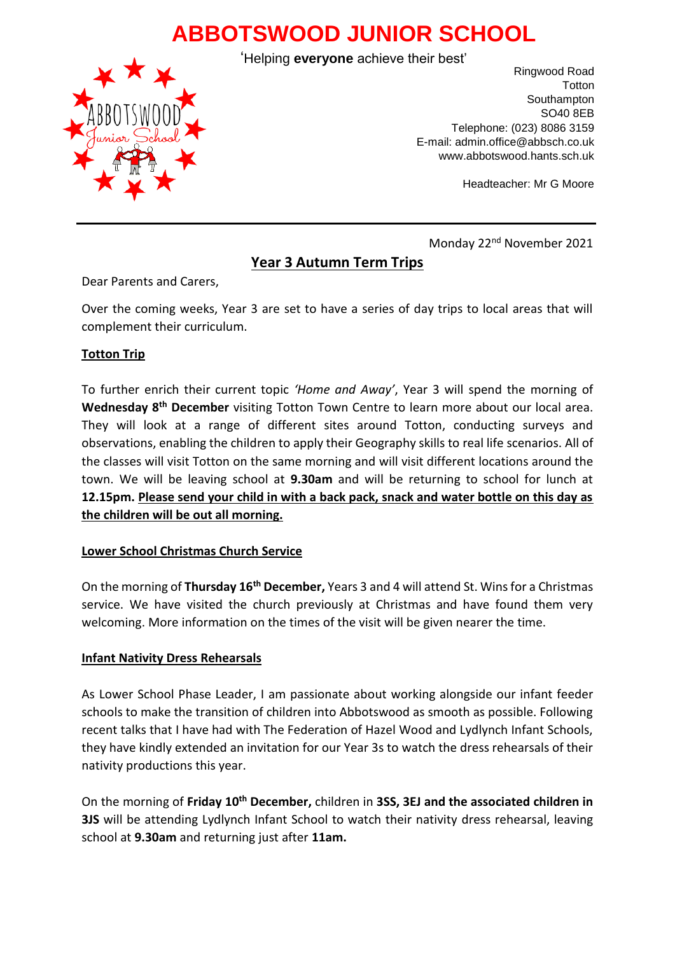# **ABBOTSWOOD JUNIOR SCHOOL**

'Helping **everyone** achieve their best'



Ringwood Road **Totton** Southampton SO40 8EB Telephone: (023) 8086 3159 E-mail: admin.office@abbsch.co.uk www.abbotswood.hants.sch.uk

Headteacher: Mr G Moore

Monday 22nd November 2021

## **Year 3 Autumn Term Trips**

Dear Parents and Carers,

Over the coming weeks, Year 3 are set to have a series of day trips to local areas that will complement their curriculum.

### **Totton Trip**

To further enrich their current topic *'Home and Away'*, Year 3 will spend the morning of **Wednesday 8th December** visiting Totton Town Centre to learn more about our local area. They will look at a range of different sites around Totton, conducting surveys and observations, enabling the children to apply their Geography skills to real life scenarios. All of the classes will visit Totton on the same morning and will visit different locations around the town. We will be leaving school at **9.30am** and will be returning to school for lunch at **12.15pm. Please send your child in with a back pack, snack and water bottle on this day as the children will be out all morning.**

#### **Lower School Christmas Church Service**

On the morning of **Thursday 16th December,** Years 3 and 4 will attend St. Wins for a Christmas service. We have visited the church previously at Christmas and have found them very welcoming. More information on the times of the visit will be given nearer the time.

#### **Infant Nativity Dress Rehearsals**

As Lower School Phase Leader, I am passionate about working alongside our infant feeder schools to make the transition of children into Abbotswood as smooth as possible. Following recent talks that I have had with The Federation of Hazel Wood and Lydlynch Infant Schools, they have kindly extended an invitation for our Year 3s to watch the dress rehearsals of their nativity productions this year.

On the morning of **Friday 10th December,** children in **3SS, 3EJ and the associated children in 3JS** will be attending Lydlynch Infant School to watch their nativity dress rehearsal, leaving school at **9.30am** and returning just after **11am.**